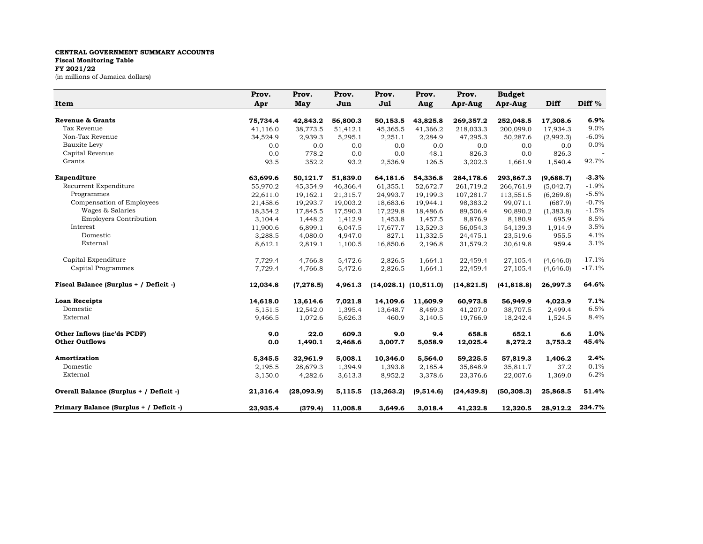## **CENTRAL GOVERNMENT SUMMARY ACCOUNTS Fiscal Monitoring Table FY 2021/22** (in millions of Jamaica dollars)

| Item                                                 | Prov.<br>Apr | Prov.<br>May    | Prov.<br>Jun     | Prov.<br>Jul   | Prov.<br>Aug              | Prov.<br>Apr-Aug  | <b>Budget</b><br>Apr-Aug | Diff           | Diff <sup>%</sup> |
|------------------------------------------------------|--------------|-----------------|------------------|----------------|---------------------------|-------------------|--------------------------|----------------|-------------------|
| Revenue & Grants                                     | 75,734.4     | 42,843.2        | 56,800.3         | 50,153.5       | 43,825.8                  | 269,357.2         | 252,048.5                | 17,308.6       | 6.9%              |
| Tax Revenue                                          | 41,116.0     | 38,773.5        | 51,412.1         | 45,365.5       | 41,366.2                  | 218,033.3         | 200,099.0                | 17,934.3       | 9.0%              |
| Non-Tax Revenue                                      | 34,524.9     | 2,939.3         | 5,295.1          | 2,251.1        | 2,284.9                   | 47,295.3          | 50,287.6                 | (2,992.3)      | $-6.0\%$          |
| Bauxite Levy                                         | 0.0          | 0.0             | 0.0              | 0.0            | 0.0                       | 0.0               | 0.0                      | 0.0            | 0.0%              |
| Capital Revenue                                      | 0.0          | 778.2           | 0.0              | 0.0            | 48.1                      | 826.3             | 0.0                      | 826.3          |                   |
| Grants                                               | 93.5         | 352.2           | 93.2             | 2,536.9        | 126.5                     | 3,202.3           | 1,661.9                  | 1,540.4        | 92.7%             |
| Expenditure                                          | 63,699.6     | 50,121.7        | 51,839.0         | 64,181.6       | 54,336.8                  | 284,178.6         | 293,867.3                | (9,688.7)      | $-3.3%$           |
| Recurrent Expenditure                                | 55,970.2     | 45,354.9        | 46,366.4         | 61,355.1       | 52,672.7                  | 261.719.2         | 266.761.9                | (5,042.7)      | $-1.9%$           |
| Programmes                                           | 22,611.0     | 19,162.1        | 21,315.7         | 24,993.7       | 19,199.3                  | 107,281.7         | 113,551.5                | (6, 269.8)     | $-5.5%$           |
| Compensation of Employees                            | 21,458.6     | 19,293.7        | 19,003.2         | 18,683.6       | 19,944.1                  | 98,383.2          | 99,071.1                 | (687.9)        | $-0.7%$           |
| Wages & Salaries                                     | 18,354.2     | 17,845.5        | 17,590.3         | 17,229.8       | 18,486.6                  | 89,506.4          | 90,890.2                 | (1, 383.8)     | $-1.5%$           |
| <b>Employers Contribution</b>                        | 3,104.4      | 1,448.2         | 1,412.9          | 1,453.8        | 1,457.5                   | 8,876.9           | 8,180.9                  | 695.9          | 8.5%              |
| Interest                                             | 11,900.6     | 6,899.1         | 6,047.5          | 17,677.7       | 13,529.3                  | 56,054.3          | 54,139.3                 | 1,914.9        | 3.5%              |
| Domestic                                             | 3,288.5      | 4,080.0         | 4,947.0          | 827.1          | 11,332.5                  | 24,475.1          | 23,519.6                 | 955.5          | 4.1%              |
| External                                             | 8,612.1      | 2,819.1         | 1,100.5          | 16,850.6       | 2,196.8                   | 31,579.2          | 30,619.8                 | 959.4          | 3.1%              |
| Capital Expenditure                                  | 7,729.4      | 4,766.8         | 5,472.6          | 2,826.5        | 1,664.1                   | 22,459.4          | 27,105.4                 | (4,646.0)      | $-17.1%$          |
| Capital Programmes                                   | 7,729.4      | 4,766.8         | 5,472.6          | 2,826.5        | 1,664.1                   | 22,459.4          | 27,105.4                 | (4,646.0)      | $-17.1%$          |
| Fiscal Balance (Surplus + / Deficit -)               | 12,034.8     | (7, 278.5)      | 4,961.3          |                | $(14,028.1)$ $(10,511.0)$ | (14, 821.5)       | (41, 818.8)              | 26,997.3       | 64.6%             |
| <b>Loan Receipts</b>                                 | 14,618.0     | 13,614.6        | 7,021.8          | 14,109.6       | 11,609.9                  | 60,973.8          | 56,949.9                 | 4,023.9        | 7.1%              |
| Domestic                                             | 5,151.5      | 12,542.0        | 1,395.4          | 13,648.7       | 8,469.3                   | 41,207.0          | 38,707.5                 | 2,499.4        | 6.5%              |
| External                                             | 9,466.5      | 1,072.6         | 5,626.3          | 460.9          | 3,140.5                   | 19,766.9          | 18,242.4                 | 1,524.5        | 8.4%              |
| Other Inflows (inc'ds PCDF)<br><b>Other Outflows</b> | 9.0<br>0.0   | 22.0<br>1,490.1 | 609.3<br>2,468.6 | 9.0<br>3,007.7 | 9.4<br>5,058.9            | 658.8<br>12,025.4 | 652.1<br>8,272.2         | 6.6<br>3,753.2 | 1.0%<br>45.4%     |
|                                                      |              |                 |                  |                |                           |                   |                          |                |                   |
| Amortization                                         | 5,345.5      | 32,961.9        | 5,008.1          | 10,346.0       | 5,564.0                   | 59,225.5          | 57,819.3                 | 1,406.2        | 2.4%              |
| Domestic                                             | 2,195.5      | 28,679.3        | 1,394.9          | 1,393.8        | 2,185.4                   | 35,848.9          | 35,811.7                 | 37.2           | 0.1%              |
| External                                             | 3,150.0      | 4,282.6         | 3,613.3          | 8,952.2        | 3,378.6                   | 23,376.6          | 22,007.6                 | 1,369.0        | 6.2%              |
| Overall Balance (Surplus + / Deficit -)              | 21,316.4     | (28,093.9)      | 5,115.5          | (13, 263.2)    | (9,514.6)                 | (24, 439.8)       | (50, 308.3)              | 25,868.5       | 51.4%             |
| Primary Balance (Surplus + / Deficit -)              | 23,935.4     | (379.4)         | 11,008.8         | 3,649.6        | 3,018.4                   | 41,232.8          | 12,320.5                 | 28,912.2       | 234.7%            |